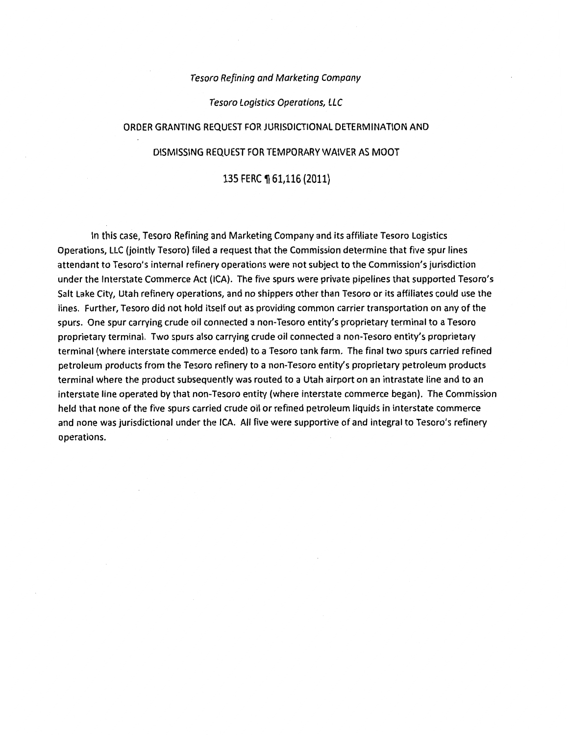### Tesoro Refining and Marketing Company

Tesoro Logistics Operations, LLC

ORDER GRANTING REQUEST FOR JURISDICTIONAL DETERMINATION AND

#### DISMISSING REQUEST FOR TEMPORARY WAIVER AS MOOT

### 135 FERC ¶ 61,116 (2011)

In this case, Tesoro Refining and Marketing Company and its affiliate Tesoro logistics Operations, LLC (jointly Tesoro) filed a request that the Commission determine that five spur lines attendant to Tesoro's internal refinery operations were not subject to the Commission's jurisdiction under the Interstate Commerce Act (ICA). The five spurs were private pipelines that supported Tesoro's Salt Lake City, Utah refinery operations, and no shippers other than Tesoro or its affiliates could use the lines. Further, Tesoro did not hold itself out as providing common carrier transportation on any of the spurs. One spur carrying crude oil connected a non-Tesoro entity's proprietary terminal to a Tesoro proprietary terminal. Two spurs also carrying crude oil connected a non-Tesoro entity's proprietary terminal (where interstate commerce ended) to a Tesoro tank farm. The final two spurs carried refined petroleum products from the Tesoro refinery to a non-Tesoro entity's proprietary petroleum products terminal where the product subsequently was routed to a Utah airport on an intrastate line and to an interstate line operated by that non-Tesoro entity (where interstate commerce began). The Commission held that none of the five spurs carried crude oil or refined petroleum liquids in interstate commerce and none was jurisdictional under the ICA. All five were supportive of and integral to Tesoro's refinery operations.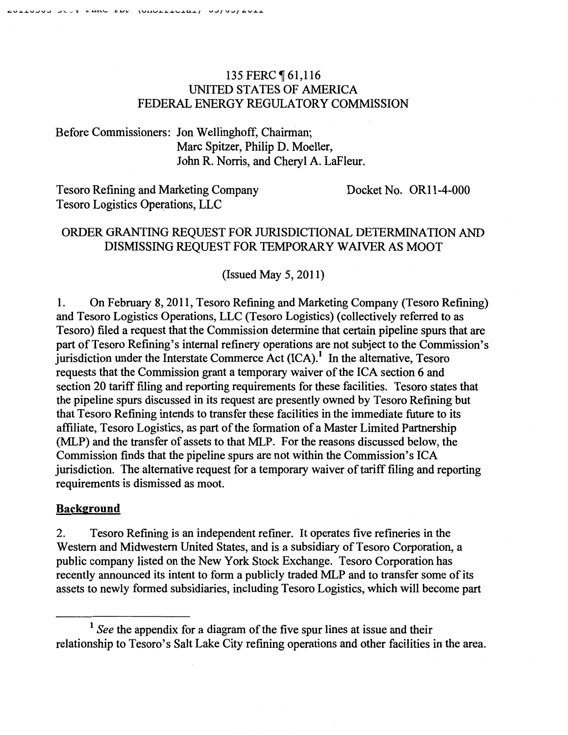## 135 FERC **[61,116**] UNITED STATES OF AMERICA FEDERAL ENERGY REGULATORY COMMISSION

Before Commissioners: Jon Wellinghoff, Chairman; Marc Spitzer, Philip D. Moeller, John R. Norris, and Cheryl A. LaFleur.

Tesoro Refining and Marketing Company Tesoro Logistics Operations, LLC

Docket No. OR11-4-000

# ORDER GRANTING REQUEST FOR JURISDICTIONAL DETERMINATION AND DISMISSING REQUEST FOR TEMPORARY WAIVER AS MOOT

(Issued May 5, 2011)

1. On February 8, 2011, Tesoro Refining and Marketing Company {Tesoro Refining) and Tesoro Logistics Operations, LLC {Tesoro Logistics) (collectively referred to as Tesoro) filed a request that the Commission determine that certain pipeline spurs that are part of Tesoro Refining's internal refinery operations are not subject to the Commission's jurisdiction under the Interstate Commerce Act  $(ICA).<sup>1</sup>$  In the alternative, Tesoro requests that the Commission grant a temporary waiver of the ICA section 6 and section 20 tariff filing and reporting requirements for these facilities. Tesoro states that the pipeline spurs discussed in its request are presently owned by Tesoro Refining but that Tesoro Refining intends to transfer these facilities in the immediate future to its affiliate, Tesoro Logistics, as part of the formation of a Master Limited Partnership (MLP) and the transfer of assets to that MLP. For the reasons discussed below, the Commission finds that the pipeline spurs are not within the Commission's ICA jurisdiction. The alternative request for a temporary waiver of tariff filing and reporting requirements is dismissed as moot.

## **Background**

2. Tesoro Refining is an independent refiner. It operates five refineries in the Western and Midwestern United States, and is a subsidiary of Tesoro Corporation, a public company listed on the New York Stock Exchange. Tesoro Corporation has recently announced its intent to form a publicly traded MLP and to transfer some of its assets to newly formed subsidiaries, including Tesoro Logistics, which will become part

<sup>&</sup>lt;sup>1</sup> See the appendix for a diagram of the five spur lines at issue and their relationship to Tesoro's Salt Lake City refining operations and other facilities in the area.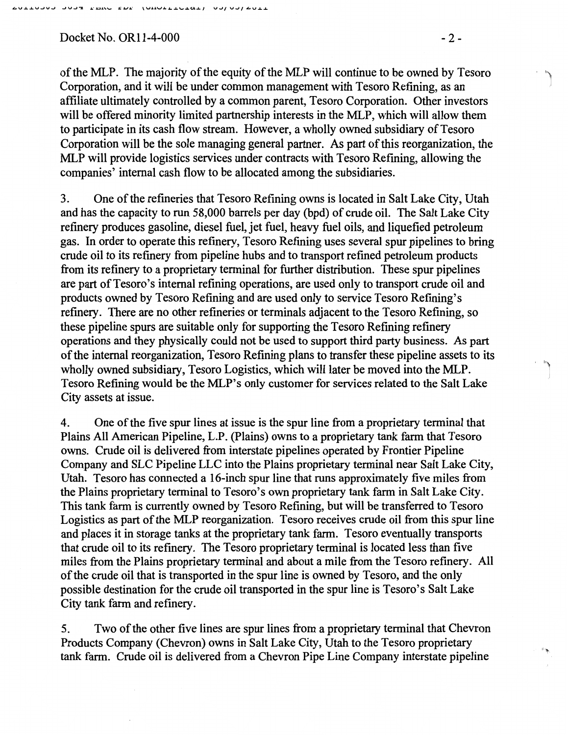Docket No. OR11-4-000 - 2 -

of the MLP. The majority of the equity of the MLP will continue to be owned by Tesoro Corporation, and it will be under common management with Tesoro Refining, as an affiliate ultimately controlled by a common parent, Tesoro Corporation. Other investors will be offered minority limited partnership interests in the MLP, which will allow them to participate in its cash flow stream. However, a wholly owned subsidiary of Tesoro Corporation will be the sole managing general partner. As part of this reorganization, the MLP will provide logistics services under contracts with Tesoro Refining, allowing the companies' internal cash flow to be allocated among the subsidiaries.

3. One of the refineries that Tesoro Refining owns is located in Salt Lake City, Utah and has the capacity to run 58,000 barrels per day (bpd) of crude oil. The Salt Lake City refmery produces gasoline, diesel fuel, jet fuel, heavy fuel oils, and liquefied petroleum gas. In order to operate this refmery, Tesoro Refining uses several spur pipelines to bring crude oil to its refmery from pipeline hubs and to transport refined petroleum products from its refinery to a proprietary terminal for further distribution. These spur pipelines are part of Tesoro's internal refining operations, are used only to transport crude oil and products owned by Tesoro Refming and are used only to service Tesoro Refining's refinery. There are no other refineries or terminals adjacent to the Tesoro Refining, so these pipeline spurs are suitable only for supporting the Tesoro Refming refmery operations and they physically could not be used to support third party business. As part of the internal reorganization, Tesoro Refining plans to transfer these pipeline assets to its wholly owned subsidiary, Tesoro Logistics, which will later be moved into the MLP. Tesoro Refming would be the MLP's only customer for services related to the Salt Lake City assets at issue.

4. One of the five spur lines at issue is the spur line from a proprietary terminal that Plains All American Pipeline, L.P. (Plains) owns to a proprietary tank farm that Tesoro owns. Crude oil is delivered from interstate pipelines operated by Frontier Pipeline Company and SLC Pipeline LLC into the Plains proprietary terminal near Salt Lake City, Utah. Tesoro has connected a 16-inch spur line that runs approximately five miles from the Plains proprietary terminal to Tesoro's own proprietary tank farm in Salt Lake City. This tank farm is currently owned by Tesoro Refining, but will be transferred to Tesoro Logistics as part of the MLP reorganization. Tesoro receives crude oil from this spur line and places it in storage tanks at the proprietary tank farm. Tesoro eventually transports that crude oil to its refmery. The Tesoro proprietary terminal is located less than five miles from the Plains proprietary terminal and about a mile from the Tesoro refinery. All of the crude oil that is transported in the spur line is owned by Tesoro, and the only possible destination for the crude oil transported in the spur line is Tesoro's Salt Lake City tank farm and refinery.

5. Two of the other five lines are spur lines from a proprietary terminal that Chevron Products Company (Chevron) owns in Salt Lake City, Utah to the Tesoro proprietary tank farm. Crude oil is delivered from a Chevron Pipe Line Company interstate pipeline

' '1

It~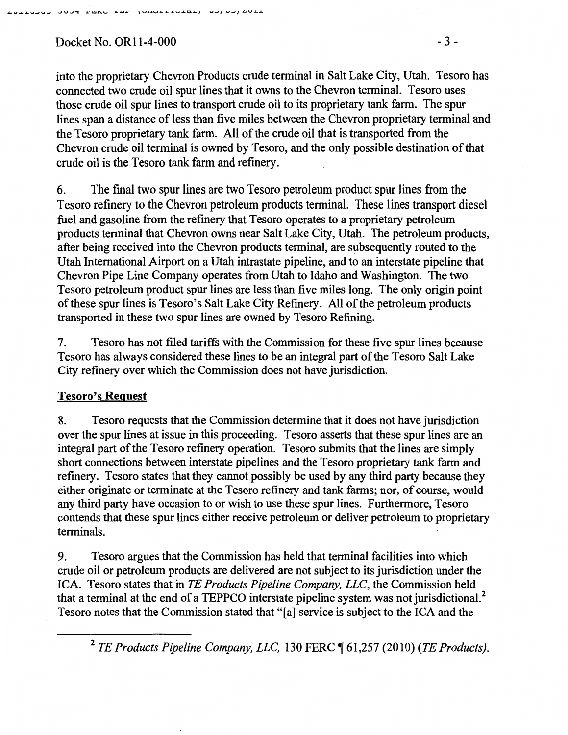Docket No. OR11-4-000 -3 -

into the proprietary Chevron Products crude terminal in Salt Lake City, Utah. Tesoro has connected two crude oil spur lines that it owns to the Chevron terminal. Tesoro uses those crude oil spur lines to transport crude oil to its proprietary tank farm. The spur lines span a distance of less than five miles between the Chevron proprietary terminal and the Tesoro proprietary tank farm. All of the crude oil that is transported from the Chevron crude oil terminal is owned by Tesoro, and the only possible destination of that crude oil is the Tesoro tank farm and refinery.

6. The final two spur lines are two Tesoro petroleum product spur lines from the Tesoro refinery to the Chevron petroleum products terminal. These lines transport diesel fuel and gasoline from the refinery that Tesoro operates to a proprietary petroleum products terminal that Chevron owns near Salt Lake City, Utah. The petroleum products, after being received into the Chevron products terminal, are subsequently routed to the Utah International Airport on a Utah intrastate pipeline, and to an interstate pipeline that Chevron Pipe Line Company operates from Utah to Idaho and Washington. The two Tesoro petroleum product spur lines are less than five miles long. The only origin point of these spur lines is Tesoro's Salt Lake City Refinery. All of the petroleum products transported in these two spur lines are owned by Tesoro Refining.

7. Tesoro has not filed tariffs with the Commission for these five spur lines because Tesoro has always considered these lines to be an integral part of the Tesoro Salt Lake City refmery over which the Commission does not have jurisdiction.

### Tesoro's Reguest

8. Tesoro requests that the Commission determine that it does not have jurisdiction over the spur lines at issue in this proceeding. Tesoro asserts that these spur lines are an integral part of the Tesoro refinery operation. Tesoro submits that the lines are simply short connections between interstate pipelines and the Tesoro proprietary tank farm and refinery. Tesoro states that they cannot possibly be used by any third party because they either originate or terminate at the Tesoro refinery and tank farms; nor, of course, would any third party have occasion to or wish to use these spur lines. Furthermore, Tesoro contends that these spur lines either receive petroleum or deliver petroleum to proprietary terminals.

9. Tesoro argues that the Commission has held that terminal facilities into which crude oil or petroleum products are delivered are not subject to its jurisdiction under the ICA. Tesoro states that in *TE Products Pipeline Company, LLC,* the Commission held that a terminal at the end of a TEPPCO interstate pipeline system was not jurisdictional.<sup>2</sup> Tesoro notes that the Commission stated that "[a] service is subject to the ICA and the

<sup>2</sup> TE Products Pipeline Company, LLC, 130 FERC ¶ 61,257 (2010) (TE Products).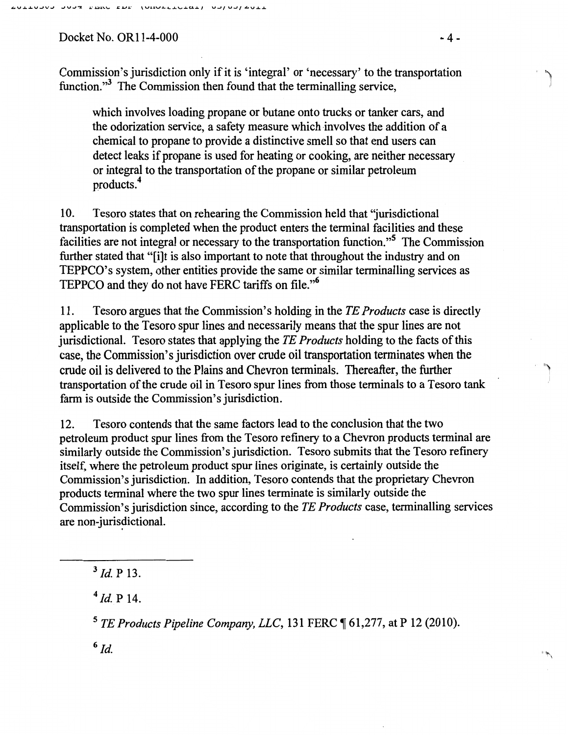$Dacket No. OR11-4-000$   $-4-0$ 

Commission's jurisdiction only if it is 'integral' or 'necessary' to the transportation function."<sup>3</sup> The Commission then found that the terminalling service,

which involves loading propane or butane onto trucks or tanker cars, and the odorization service, a safety measure which involves the addition of a chemical to propane to provide a distinctive smell so that end users can detect leaks if propane is used for heating or cooking, are neither necessary or integral to the transportation of the propane or similar petroleum products.4

10. Tesoro states that on rehearing the Commission held that ''jurisdictional transportation is completed when the product enters the terminal facilities and these facilities are not integral or necessary to the transportation function."5 The Commission further stated that "[i]t is also important to note that throughout the industry and on TEPPCO's system, other entities provide the same or similar terminalling services as TEPPCO and they do not have FERC tariffs on file."<sup>6</sup>

11. Tesoro argues that the Commission's holding in the *TE Products* case is directly applicable to the Tesoro spur lines and necessarily means that the spur lines are not jurisdictional. Tesoro states that applying the *TE Products* holding to the facts of this case, the Commission's jurisdiction over crude oil transportation terminates when the crude oil is delivered to the Plains and Chevron terminals. Thereafter, the further transportation of the crude oil in Tesoro spur lines from those terminals to a Tesoro tank farm is outside the Commission's jurisdiction.

12. Tesoro contends that the same factors lead to the conclusion that the two petroleum product spur lines from the Tesoro refinery to a Chevron products terminal are similarly outside the Commission's jurisdiction. Tesoro submits that the Tesoro refmery itself, where the petroleum product spur lines originate, is certainly outside the Commission's jurisdiction. In addition, Tesoro contends that the proprietary Chevron products terminal where the two spur lines terminate is similarly outside the Commission's jurisdiction since, according to the *TE Products* case, terminalling services are non-jurisdictional.

 $3$  *Id.* P 13.

 $4$  *Id.* P 14.

<sup>5</sup> TE Products Pipeline Company, LLC, 131 FERC ¶ 61,277, at P 12 (2010).

 $6$   $Id.$ 

') I

")

111!"'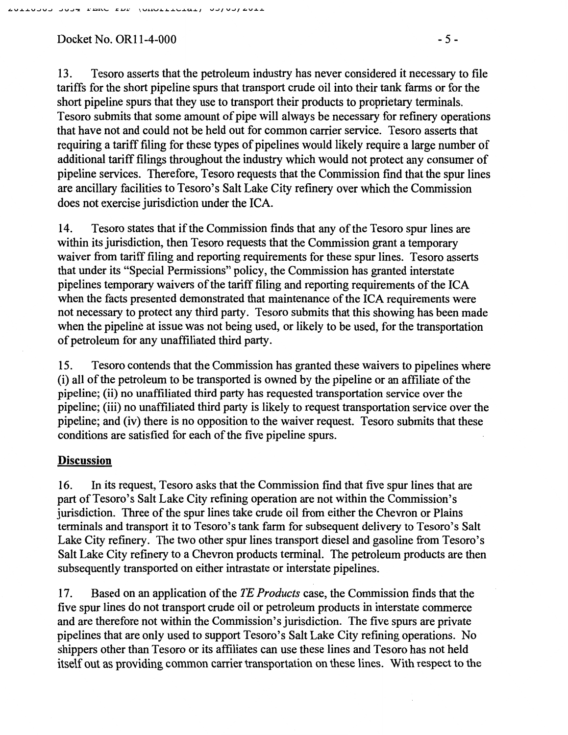$Dacket No. OR11-4-000$   $-5-$ 

13. Tesoro asserts that the petroleum industry has never considered it necessary to file tariffs for the short pipeline spurs that transport crude oil into their tank farms or for the short pipeline spurs that they use to transport their products to proprietary terminals. Tesoro submits that some amount of pipe will always be necessary for refinery operations that have not and could not be held out for common carrier service. Tesoro asserts that requiring a tariff filing for these types of pipelines would likely require a large number of additional tariff filings throughout the industry which would not protect any consumer of pipeline services. Therefore, Tesoro requests that the Commission find that the spur lines are ancillary facilities to Tesoro's Salt Lake City refinery over which the Commission does not exercise jurisdiction under the ICA.

14. Tesoro states that if the Commission finds that any of the Tesoro spur lines are within its jurisdiction, then Tesoro requests that the Commission grant a temporary waiver from tariff filing and reporting requirements for these spur lines. Tesoro asserts that under its "Special Permissions" policy, the Commission has granted interstate pipelines temporary waivers of the tariff filing and reporting requirements of the ICA when the facts presented demonstrated that maintenance of the ICA requirements were not necessary to protect any third party. Tesoro submits that this showing has been made when the pipeline at issue was not being used, or likely to be used, for the transportation of petroleum for any unaffiliated third party.

15. Tesoro contends that the Commission has granted these waivers to pipelines where (i) all of the petroleum to be transported is owned by the pipeline or an affiliate of the pipeline; (ii) no unaffiliated third party has requested transportation service over the pipeline; (iii) no unaffiliated third party is likely to request transportation service over the pipeline; and (iv) there is no opposition to the waiver request. Tesoro submits that these conditions are satisfied for each of the five pipeline spurs.

### **Discussion**

16. In its request, Tesoro asks that the Commission find that five spur lines that are part of Tesoro's Salt Lake City refining operation are not within the Commission's jurisdiction. Three of the spur lines take crude oil from either the Chevron or Plains terminals and transport it to Tesoro's tank farm for subsequent delivery to Tesoro's Salt Lake City refinery. The two other spur lines transport diesel and gasoline from Tesoro's Salt Lake City refinery to a Chevron products terminal. The petroleum products are then subsequently transported on either intrastate or interstate pipelines.

17. Based on an application of the *TE Products* case, the Commission finds that the five spur lines do not transport crude oil or petroleum products in interstate commerce and are therefore not within the Commission's jurisdiction. The five spurs are private pipelines that are only used to support Tesoro's Salt Lake City refining operations. No shippers other than Tesoro or its affiliates can use these lines and Tesoro has not held itself out as providing common carrier transportation on these lines. With respect to the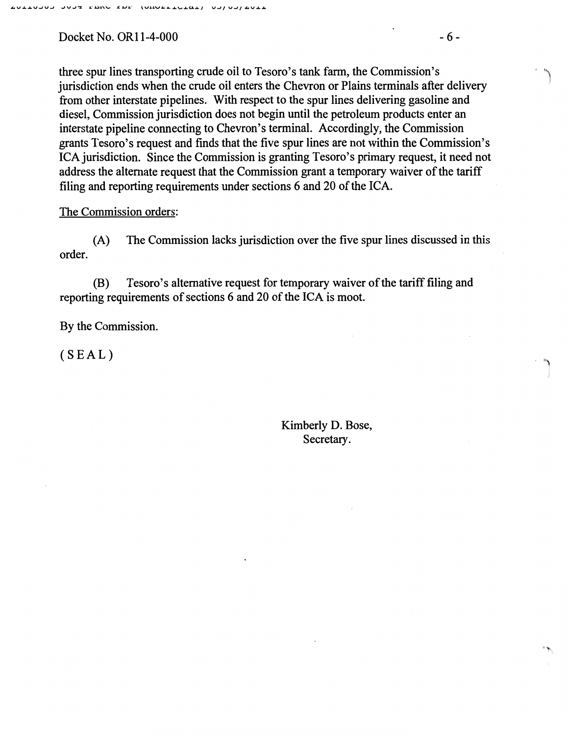$Docket No. OR11-4-000$  - 6 -

three spur lines transporting crude oil to Tesoro's tank farm, the Commission's jurisdiction ends when the crude oil enters the Chevron or Plains terminals after delivery from other interstate pipelines. With respect to the spur lines delivering gasoline and diesel, Commission jurisdiction does not begin until the petroleum products enter an interstate pipeline connecting to Chevron's terminal. Accordingly, the Commission grants Tesoro's request and finds that the five spur lines are not within the Commission's ICA jurisdiction. Since the Commission is granting Tesoro's primary request, it need not address the alternate request that the Commission grant a temporary waiver of the tariff filing and reporting requirements under sections 6 and 20 of the ICA.

### The Commission orders:

(A) The Commission lacks jurisdiction over the five spur lines discussed in this order.

(B) Tesoro's alternative request for temporary waiver of the tariff filing and reporting requirements of sections 6 and 20 of the ICA is moot.

By the Commission.

(SEAL)

Kimberly D. Bose, Secretary.

 $\int_{\mathbb{R}^3}$